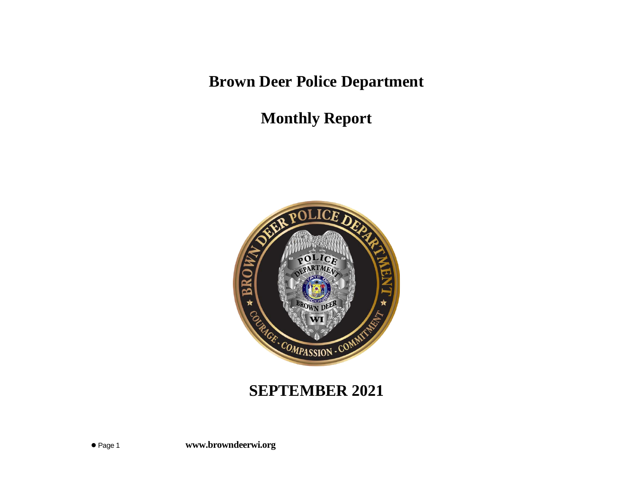**Brown Deer Police Department**

**Monthly Report**



## **SEPTEMBER 2021**

⚫ Page 1 **www.browndeerwi.org**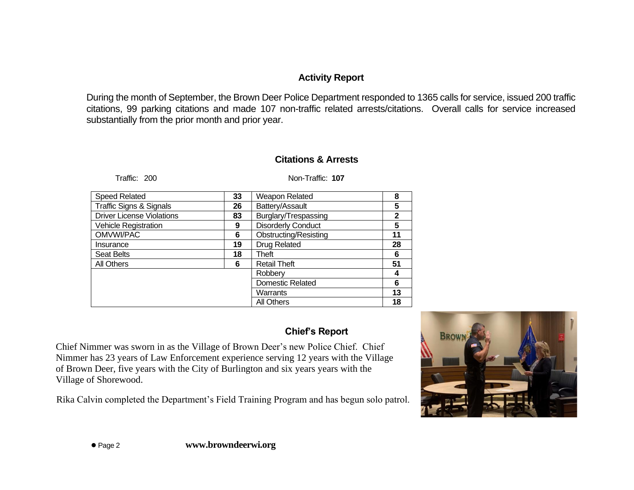## **Activity Report**

During the month of September, the Brown Deer Police Department responded to 1365 calls for service, issued 200 traffic citations, 99 parking citations and made 107 non-traffic related arrests/citations. Overall calls for service increased substantially from the prior month and prior year.

## **Citations & Arrests**

Traffic: 200 Non-Traffic: **107**

| <b>Speed Related</b>               | 33 | Weapon Related               | 8            |
|------------------------------------|----|------------------------------|--------------|
| <b>Traffic Signs &amp; Signals</b> | 26 | Battery/Assault              | 5            |
| <b>Driver License Violations</b>   | 83 | Burglary/Trespassing         | $\mathbf{2}$ |
| Vehicle Registration               | 9  | Disorderly Conduct           | 5            |
| OMVWI/PAC                          | 6  | <b>Obstructing/Resisting</b> | 11           |
| Insurance                          | 19 | Drug Related                 | 28           |
| <b>Seat Belts</b>                  | 18 | Theft                        | 6            |
| All Others                         | 6  | <b>Retail Theft</b>          | 51           |
|                                    |    | Robbery                      | 4            |
|                                    |    | <b>Domestic Related</b>      | 6            |
|                                    |    | Warrants                     | 13           |
|                                    |    | <b>All Others</b>            | 18           |

## **Chief's Report**

Chief Nimmer was sworn in as the Village of Brown Deer's new Police Chief. Chief Nimmer has 23 years of Law Enforcement experience serving 12 years with the Village of Brown Deer, five years with the City of Burlington and six years years with the Village of Shorewood.

Rika Calvin completed the Department's Field Training Program and has begun solo patrol.

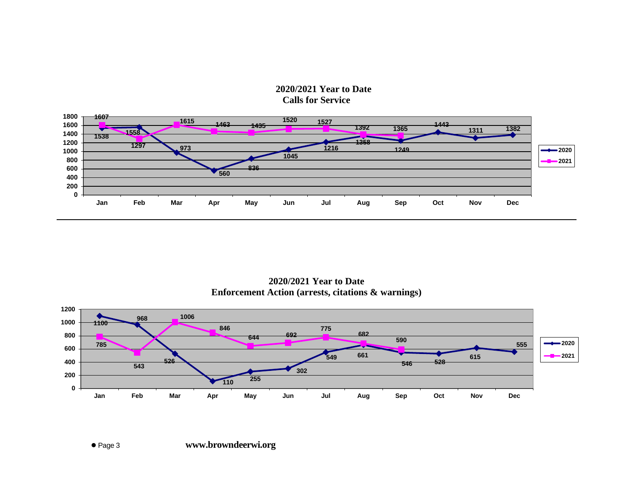**2020/2021 Year to Date Calls for Service**



**2020/2021 Year to Date Enforcement Action (arrests, citations & warnings)**

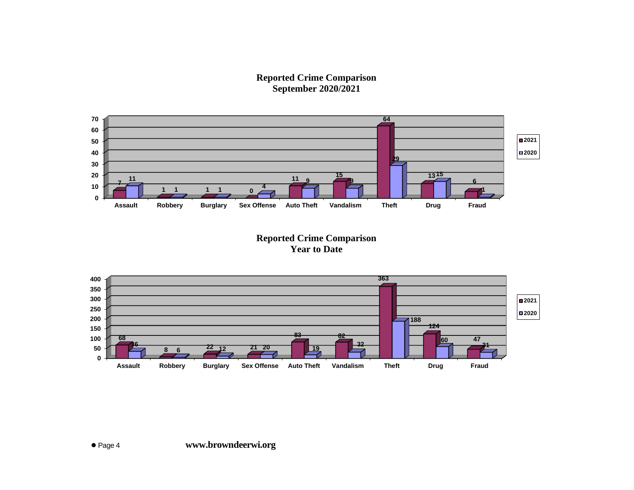**Reported Crime Comparison September 2020/2021**



**Reported Crime Comparison Year to Date**

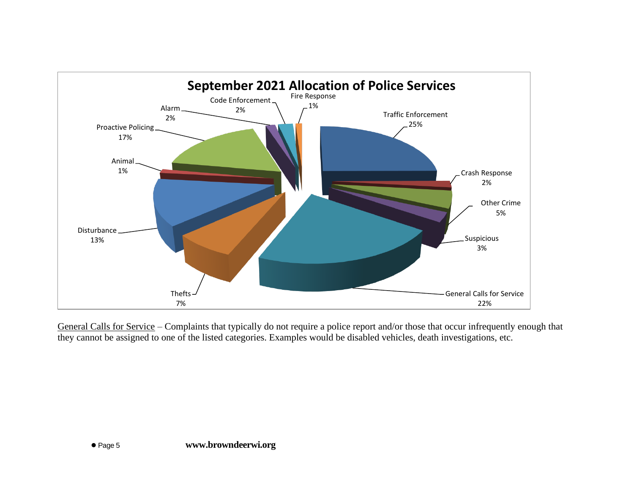

General Calls for Service – Complaints that typically do not require a police report and/or those that occur infrequently enough that they cannot be assigned to one of the listed categories. Examples would be disabled vehicles, death investigations, etc.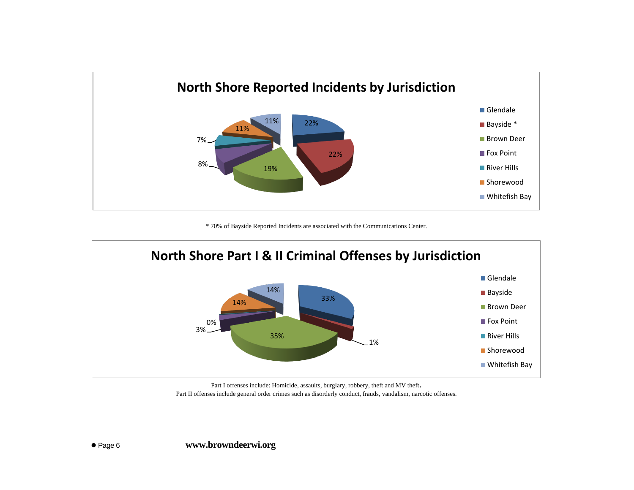

\* 70% of Bayside Reported Incidents are associated with the Communications Center.



Part I offenses include: Homicide, assaults, burglary, robbery, theft and MV theft. Part II offenses include general order crimes such as disorderly conduct, frauds, vandalism, narcotic offenses.